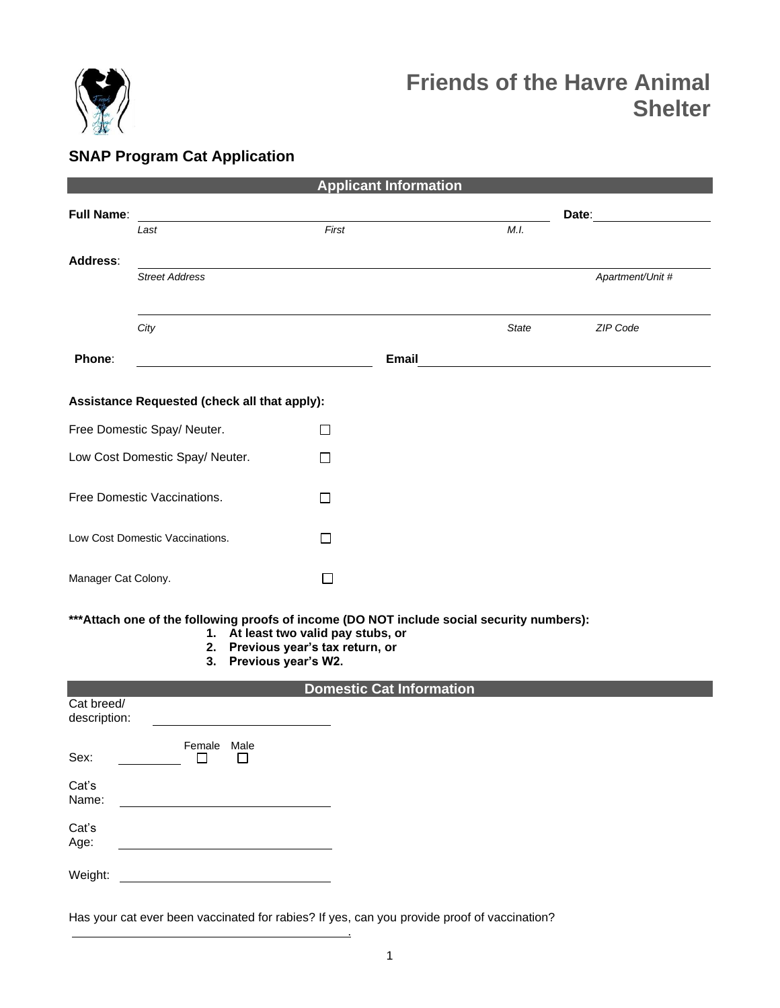

# **Friends of the Havre Animal Shelter**

# **SNAP Program Cat Application**

| <b>Applicant Information</b>                                                                                                                                                                                                        |                       |              |              |              |                  |  |  |  |  |  |
|-------------------------------------------------------------------------------------------------------------------------------------------------------------------------------------------------------------------------------------|-----------------------|--------------|--------------|--------------|------------------|--|--|--|--|--|
| <b>Full Name:</b>                                                                                                                                                                                                                   |                       |              |              |              | Date:            |  |  |  |  |  |
|                                                                                                                                                                                                                                     | Last                  | First        |              | M.I.         |                  |  |  |  |  |  |
| Address:                                                                                                                                                                                                                            |                       |              |              |              |                  |  |  |  |  |  |
|                                                                                                                                                                                                                                     | <b>Street Address</b> |              |              |              | Apartment/Unit # |  |  |  |  |  |
|                                                                                                                                                                                                                                     |                       |              |              |              |                  |  |  |  |  |  |
|                                                                                                                                                                                                                                     | City                  |              |              | <b>State</b> | ZIP Code         |  |  |  |  |  |
| Phone:                                                                                                                                                                                                                              |                       |              | <b>Email</b> |              |                  |  |  |  |  |  |
| Assistance Requested (check all that apply):                                                                                                                                                                                        |                       |              |              |              |                  |  |  |  |  |  |
| Free Domestic Spay/ Neuter.<br>П                                                                                                                                                                                                    |                       |              |              |              |                  |  |  |  |  |  |
| Low Cost Domestic Spay/ Neuter.                                                                                                                                                                                                     |                       | П            |              |              |                  |  |  |  |  |  |
| Free Domestic Vaccinations.                                                                                                                                                                                                         |                       | ΙI           |              |              |                  |  |  |  |  |  |
| Low Cost Domestic Vaccinations.                                                                                                                                                                                                     |                       | $\mathsf{L}$ |              |              |                  |  |  |  |  |  |
| Manager Cat Colony.                                                                                                                                                                                                                 |                       | $\Box$       |              |              |                  |  |  |  |  |  |
| *** Attach one of the following proofs of income (DO NOT include social security numbers):<br>1. At least two valid pay stubs, or<br>2. Previous year's tax return, or<br>3. Previous year's W2.<br><b>Domestic Cat Information</b> |                       |              |              |              |                  |  |  |  |  |  |
| Cat breed/                                                                                                                                                                                                                          |                       |              |              |              |                  |  |  |  |  |  |
| description:                                                                                                                                                                                                                        |                       |              |              |              |                  |  |  |  |  |  |
| Female Male<br>Sex:<br>$\Box$<br>П                                                                                                                                                                                                  |                       |              |              |              |                  |  |  |  |  |  |
| Cat's<br>Name:                                                                                                                                                                                                                      |                       |              |              |              |                  |  |  |  |  |  |
| Cat's<br>Age:                                                                                                                                                                                                                       |                       |              |              |              |                  |  |  |  |  |  |
| Weight:                                                                                                                                                                                                                             |                       |              |              |              |                  |  |  |  |  |  |

Has your cat ever been vaccinated for rabies? If yes, can you provide proof of vaccination?

<u>. Andrew Maria Maria Maria Maria Maria Maria Maria Maria Maria Maria Maria Maria Maria Maria Maria Maria Mari</u>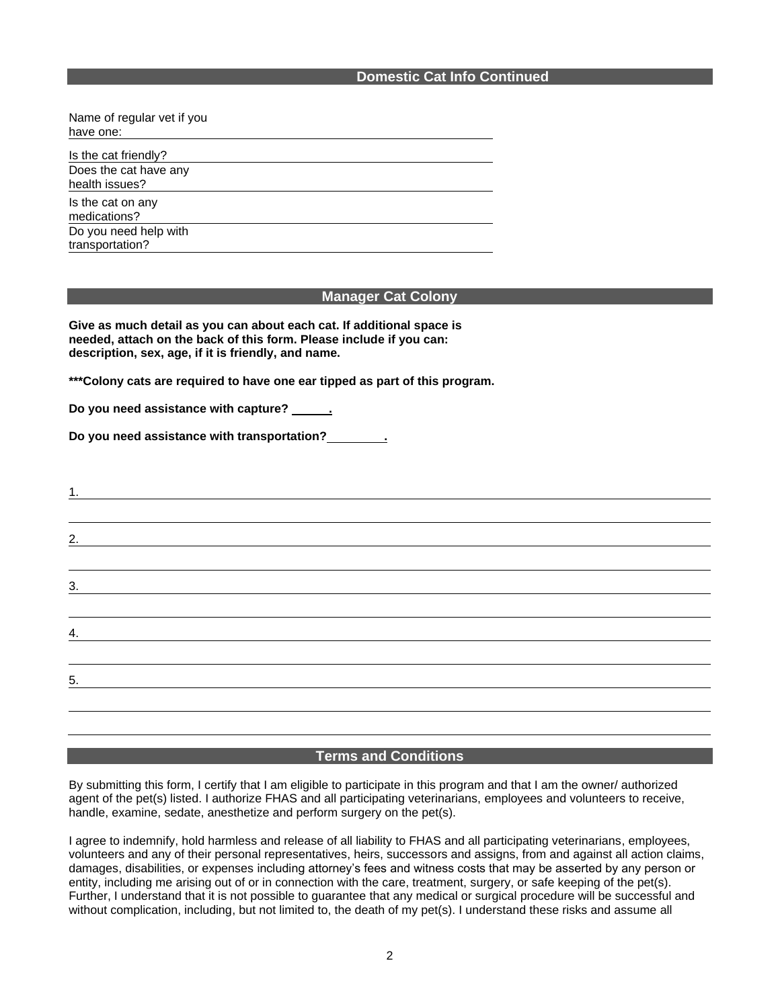Name of regular vet if you have one:

Is the cat friendly? Does the cat have any health issues?

Is the cat on any medications? Do you need help with

transportation?

#### **Manager Cat Colony**

**Give as much detail as you can about each cat. If additional space is needed, attach on the back of this form. Please include if you can: description, sex, age, if it is friendly, and name.**

**\*\*\*Colony cats are required to have one ear tipped as part of this program.**

Do you need assistance with capture? **.......** 

**Do you need assistance with transportation? .** 

| 2.                |  |  |  |
|-------------------|--|--|--|
|                   |  |  |  |
| 3.                |  |  |  |
|                   |  |  |  |
| 4.                |  |  |  |
|                   |  |  |  |
| $\underline{5}$ . |  |  |  |
|                   |  |  |  |
|                   |  |  |  |

## **Terms and Conditions**

By submitting this form, I certify that I am eligible to participate in this program and that I am the owner/ authorized agent of the pet(s) listed. I authorize FHAS and all participating veterinarians, employees and volunteers to receive, handle, examine, sedate, anesthetize and perform surgery on the pet(s).

I agree to indemnify, hold harmless and release of all liability to FHAS and all participating veterinarians, employees, volunteers and any of their personal representatives, heirs, successors and assigns, from and against all action claims, damages, disabilities, or expenses including attorney's fees and witness costs that may be asserted by any person or entity, including me arising out of or in connection with the care, treatment, surgery, or safe keeping of the pet(s). Further, I understand that it is not possible to guarantee that any medical or surgical procedure will be successful and without complication, including, but not limited to, the death of my pet(s). I understand these risks and assume all